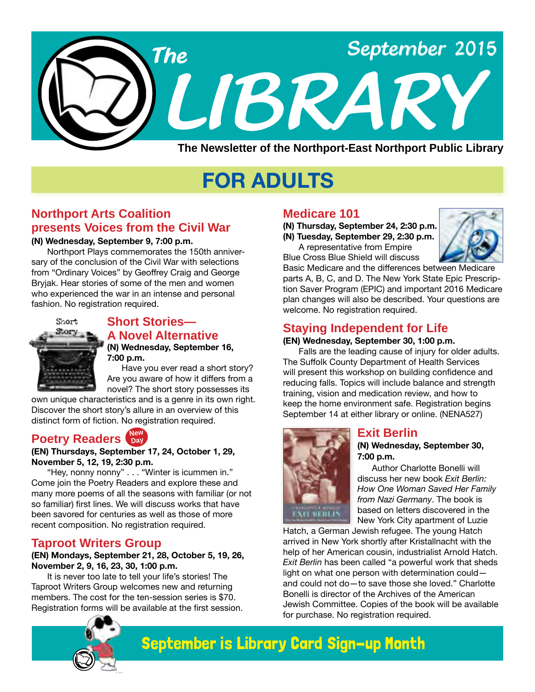

# **FOR ADULTS**

# **Northport Arts Coalition presents Voices from the Civil War**

#### **(N) Wednesday, September 9, 7:00 p.m.**

Northport Plays commemorates the 150th anniversary of the conclusion of the Civil War with selections from "Ordinary Voices" by Geoffrey Craig and George Bryjak. Hear stories of some of the men and women who experienced the war in an intense and personal fashion. No registration required.



#### **Short Stories— A Novel Alternative (N) Wednesday, September 16,**

**7:00 p.m.** Have you ever read a short story? Are you aware of how it differs from a

novel? The short story possesses its own unique characteristics and is a genre in its own right. Discover the short story's allure in an overview of this distinct form of fiction. No registration required.

#### **Poetry Readers Day Day**

#### **(EN) Thursdays, September 17, 24, October 1, 29, November 5, 12, 19, 2:30 p.m.**

"Hey, nonny nonny" . . . "Winter is icummen in." Come join the Poetry Readers and explore these and many more poems of all the seasons with familiar (or not so familiar) first lines. We will discuss works that have been savored for centuries as well as those of more recent composition. No registration required.

### **Taproot Writers Group**

#### **(EN) Mondays, September 21, 28, October 5, 19, 26, November 2, 9, 16, 23, 30, 1:00 p.m.**

It is never too late to tell your life's stories! The Taproot Writers Group welcomes new and returning members. The cost for the ten-session series is \$70. Registration forms will be available at the first session.

# **Medicare 101**

**(N) Thursday, September 24, 2:30 p.m. (N) Tuesday, September 29, 2:30 p.m.**

A representative from Empire Blue Cross Blue Shield will discuss



Basic Medicare and the differences between Medicare parts A, B, C, and D. The New York State Epic Prescription Saver Program (EPIC) and important 2016 Medicare plan changes will also be described. Your questions are welcome. No registration required.

# **Staying Independent for Life**

#### **(EN) Wednesday, September 30, 1:00 p.m.**

Falls are the leading cause of injury for older adults. The Suffolk County Department of Health Services will present this workshop on building confidence and reducing falls. Topics will include balance and strength training, vision and medication review, and how to keep the home environment safe. Registration begins September 14 at either library or online. [\(NENA527\)](http://alpha2.suffolk.lib.ny.us/search/?searchtype=X&SORT=D&searcharg=nena527&searchscope=43)



### **Exit Berlin**

**(N) Wednesday, September 30, 7:00 p.m.**

Author Charlotte Bonelli will discuss her new book *Exit Berlin: How One Woman Saved Her Family from Nazi Germany*. The book is based on letters discovered in the New York City apartment of Luzie

Hatch, a German Jewish refugee. The young Hatch arrived in New York shortly after Kristallnacht with the help of her American cousin, industrialist Arnold Hatch. *Exit Berlin* has been called "a powerful work that sheds light on what one person with determination could and could not do—to save those she loved." Charlotte Bonelli is director of the Archives of the American Jewish Committee. Copies of the book will be available for purchase. No registration required.



# September is Library Card Sign-up Month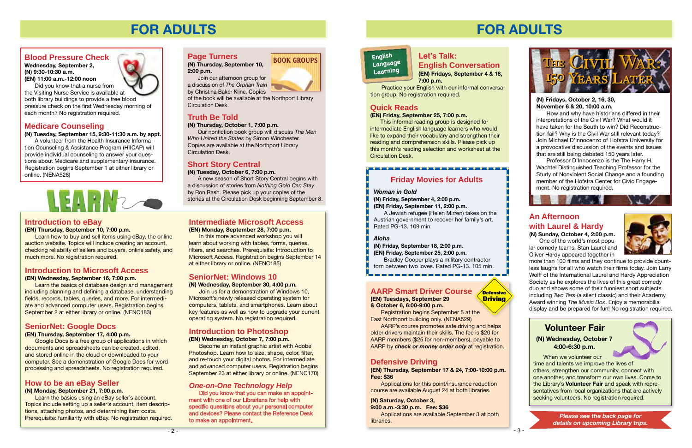



### **Introduction to eBay**

#### **(EN) Thursday, September 10, 7:00 p.m.**

Learn how to buy and sell items using eBay, the online auction website. Topics will include creating an account, checking reliability of sellers and buyers, online safety, and much more. No registration required.



#### **(N) Thursday, September 10, 2:00 p.m.**

Join our afternoon group for a discussion of *The Orphan Train*  by Christina Baker Kline. Copies

of the book will be available at the Northport Library Circulation Desk.

# **Truth Be Told**

**(N) Thursday, October 1, 7:00 p.m.**

Our nonfiction book group will discuss *The Men Who United the States* by Simon Winchester. Copies are available at the Northport Library Circulation Desk.

# **Short Story Central**

**(N) Tuesday, October 6, 7:00 p.m.**

A new season of Short Story Central begins with a discussion of stories from *Nothing Gold Can Stay* by Ron Rash. Please pick up your copies of the stories at the Circulation Desk beginning September 8.

# **Introduction to Photoshop**

**(EN) Wednesday, October 7, 7:00 p.m.**

Become an instant graphic artist with Adobe Photoshop. Learn how to size, shape, color, filter, and re-touch your digital photos. For intermediate and advanced computer users. Registration begins September 23 at either library or online. [\(NENC170\)](http://alpha2.suffolk.lib.ny.us/search/?searchtype=X&SORT=D&searcharg=nenc170&searchscope=43)

# **Introduction to Microsoft Access**

#### **(EN) Wednesday, September 16, 7:00 p.m.**

Learn the basics of database design and management including planning and defining a database, understanding fields, records, tables, queries, and more. For intermediate and advanced computer users. Registration begins September 2 at either library or online. ([NENC183](http://alpha2.suffolk.lib.ny.us/search/?searchtype=X&SORT=D&searcharg=nenc183&searchscope=43))

# **How to be an eBay Seller**

# **(N) Monday, September 21, 7:00 p.m.**

Learn the basics using an eBay seller's account. Topics include setting up a seller's account, item descriptions, attaching photos, and determining item costs. Prerequisite: familiarity with eBay. No registration required.

# **SeniorNet: Google Docs**

### **(EN) Thursday, September 17, 4:00 p.m.**

Google Docs is a free group of applications in which documents and spreadsheets can be created, edited, and stored online in the cloud or downloaded to your computer. See a demonstration of Google Docs for word processing and spreadsheets. No registration required.

# **SeniorNet: Windows 10**

#### **(N) Wednesday, September 30, 4:00 p.m.**

Join us for a demonstration of Windows 10, Microsoft's newly released operating system for computers, tablets, and smartphones. Learn about key features as well as how to upgrade your current operating system. No registration required.

#### **Intermediate Microsoft Access (EN) Monday, September 28, 7:00 p.m.**

In this more advanced workshop you will learn about working with tables, forms, queries, filters, and searches. Prerequisite: Introduction to Microsoft Access. Registration begins September 14 at either library or online. [\(NENC185\)](http://alpha2.suffolk.lib.ny.us/search/?searchtype=X&SORT=D&searcharg=nenc185&searchscope=43)

# **FOR ADULTS**

# **Blood Pressure Check**

**Wednesday, September 2, (N) 9:30-10:30 a.m. (EN) 11:00 a.m.-12:00 noon**

Did you know that a nurse from the Visiting Nurse Service is available at both library buildings to provide a free blood pressure check on the first Wednesday morning of each month? No registration required.

# **Medicare Counseling**

#### **(N) Tuesday, September 15, 9:30-11:30 a.m. by appt.**

A volunteer from the Health Insurance Information Counseling & Assistance Program (HIICAP) will provide individual counseling to answer your questions about Medicare and supplementary insurance. Registration begins September 1 at either library or online. [\(NENA528\)](http://alpha2.suffolk.lib.ny.us/search/?searchtype=X&SORT=D&searcharg=nena528&searchscope=43)



# *One-on-One Technology Help*

Did you know that you can make an appointment with one of our Librarians for help with specific questions about your personal computer and devices? Please contact the Reference Desk to make an appointment.

- 3 -

# **Defensive Driving**

**(EN) Thursday, September 17 & 24, 7:00-10:00 p.m. Fee: \$36**

Applications for this point/insurance reduction course are available August 24 at both libraries.

### **(N) Saturday, October 3,**

**9:00 a.m.-3:30 p.m. Fee: \$36** Applications are available September 3 at both libraries.

**Defensive Driving**

# **AARP Smart Driver Course (EN) Tuesdays, September 29**

# **& October 6, 6:00-9:00 p.m.**

. . . . . . . . . . . . .

Registration begins September 5 at the East Northport building only. [\(NENA529\)](http://alpha2.suffolk.lib.ny.us/search/?searchtype=X&SORT=D&searcharg=nena529&searchscope=43)

AARP's course promotes safe driving and helps older drivers maintain their skills. The fee is \$20 for AARP members (\$25 for non-members), payable to AARP by *check or money order only* at registration.

#### **Let's Talk: English Conversation (EN) Fridays, September 4 & 18, 7:00 p.m.**

# **English Language Learning**

 Practice your English with our informal conversation group. No registration required.

# **Quick Reads**

#### **(EN) Friday, September 25, 7:00 p.m.**

This informal reading group is designed for intermediate English language learners who would like to expand their vocabulary and strengthen their reading and comprehension skills. Please pick up this month's reading selection and worksheet at the Circulation Desk.

# **FOR ADULTS**

When we volunteer our time and talents we improve the lives of others, strengthen our community, connect with one another, and transform our own lives. Come to the Library's **Volunteer Fair** and speak with representatives from local organizations that are actively seeking volunteers. No registration required.

## **(N) Wednesday, October 7 4:00-6:30 p.m. Volunteer Fair**

#### **(N) Fridays, October 2, 16, 30, November 6 & 20, 10:00 a.m.**

How and why have historians differed in their interpretations of the Civil War? What would it have taken for the South to win? Did Reconstruction fail? Why is the Civil War still relevant today? Join Michael D'Innocenzo of Hofstra University for a provocative discussion of the events and issues that are still being debated 150 years later.

Professor D'Innocenzo is the The Harry H. Wachtel Distinguished Teaching Professor for the Study of Nonviolent Social Change and a founding member of the Hofstra Center for Civic Engagement. No registration required.

> *Please see the back page for details on upcoming Library trips.*

#### *Woman in Gold*

**(N) Friday, September 4, 2:00 p.m. (EN) Friday, September 11, 2:00 p.m.**

A Jewish refugee (Helen Mirren) takes on the Austrian government to recover her family's art. Rated PG-13. 109 min.

#### *Aloha*

**(N) Friday, September 18, 2:00 p.m. (EN) Friday, September 25, 2:00 p.m.**

Bradley Cooper plays a military contractor torn between two loves. Rated PG-13. 105 min.

# **Friday Movies for Adults**

. . . . . . . . . . . . . . . .



# **An Afternoon with Laurel & Hardy**

**(N) Sunday, October 4, 2:00 p.m.** One of the world's most popular comedy teams, Stan Laurel and Oliver Hardy appeared together in

**THE STATE OF STREET** 



more than 100 films and they continue to provide countless laughs for all who watch their films today. Join Larry Wolff of the International Laurel and Hardy Appreciation Society as he explores the lives of this great comedy duo and shows some of their funniest short subjects including *Two Tars* (a silent classic) and their Academy Award winning *The Music Box*. Enjoy a memorabilia display and be prepared for fun! No registration required.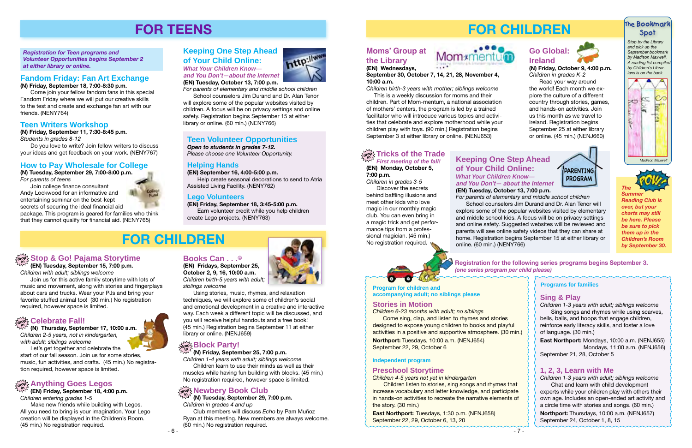# **FOR CHILDREN**



**Registration for the following series programs begins September 3.** *(one series program per child please)*

Children listen to stories, sing songs and rhymes increase vocabulary and letter knowledge, and partici in hands-on activities to recreate the narrative element the story. (30 min.)

|                        | <b>Programs for families</b>                                                                                                                                                                                                                                                                                                         |
|------------------------|--------------------------------------------------------------------------------------------------------------------------------------------------------------------------------------------------------------------------------------------------------------------------------------------------------------------------------------|
| rful.<br>) $min.$      | <b>Sing &amp; Play</b><br>Children 1-3 years with adult; siblings welcome<br>Sing songs and rhymes while using scarves,<br>bells, balls, and hoops that engage children,<br>reinforce early literacy skills, and foster a love<br>of language. (30 min.)                                                                             |
|                        | East Northport: Mondays, 10:00 a.m. (NENJ655)<br>Mondays, 11:00 a.m. (NENJ656)<br>September 21, 28, October 5                                                                                                                                                                                                                        |
| that<br>pate<br>ıts of | <b>1, 2, 3, Learn with Me</b><br>Children 1-3 years with adult; siblings welcome<br>Chat and learn with child development<br>experts while your children play with others their<br>own age. Includes an open-ended art activity and<br>a circle time with stories and songs. (60 min.)<br>Northport: Thursdays, 10:00 a.m. (NENJ657) |
|                        | September 24, October 1, 8, 15                                                                                                                                                                                                                                                                                                       |
| - 7 -                  |                                                                                                                                                                                                                                                                                                                                      |

Come sing, clap, and listen to rhymes and stories designed to expose young children to books and play activities in a positive and supportive atmosphere. (30

#### **Preschool Storytime**

*Children 4-5 years not yet in kindergarten*

**East Northport:** Tuesdays, 1:30 p.m. [\(NENJ658\)](http://alpha2.suffolk.lib.ny.us/search/?searchtype=X&SORT=D&searcharg=nenj658&searchscope=43) September 22, 29, October 6, 13, 20

**Program for children and** 

**accompanying adult; no siblings please**

#### **Independent program**

#### **Stories in Motion**

*Children 6-23 months with adult; no siblings*

#### $\frac{d}{d\theta}$  **Tricks of the Trade** *First meeting of the fall!*

*Children in grades 3-5* Discover the secrets behind baffling illusions and meet other kids who love magic in our monthly magic club. You can even bring in a magic trick and get performance tips from a professional magician. (45 min.) No registration required.

**Northport:** Tuesdays, 10:00 a.m. ([NENJ654](http://alpha2.suffolk.lib.ny.us/search/?searchtype=X&SORT=D&searcharg=nenj654&searchscope=43)) September 22, 29, October 6



*by September 30.*

#### **Moms' Group at the Library (EN) Wednesdays,**



**September 30, October 7, 14, 21, 28, November 4, 10:00 a.m.**

*Children birth-3 years with mother; siblings welcome*

 This is a weekly discussion for moms and their children. Part of Mom-mentum, a national association of mothers' centers, the program is led by a trained facilitator who will introduce various topics and activities that celebrate and explore motherhood while your children play with toys. (90 min.) Registration begins September 3 at either library or online. ([NENJ653\)](http://alpha2.suffolk.lib.ny.us/search/?searchtype=X&SORT=D&searcharg=nenj653&searchscope=43)

Children learn to use their minds as well as their muscles while having fun building with blocks. (45 min.)<br>No registration required, however space is limited.

# $\frac{d}{d\theta}$  **Newbery Book Club**

# **Keeping One Step Ahead of Your Child Online:**  *What Your Children Know*  **and You Don't— about the Internet**

**(EN) Tuesday, October 13, 7:00 p.m.**

*For parents of elementary and middle school children* School counselors Jim Durand and Dr. Alan Tenor will explore some of the popular websites visited by elementary and middle school kids. A focus will be on privacy settings and online safety. Suggested websites will be reviewed and parents will see online safety videos that they can share at home. Registration begins September 15 at either library or

online. (60 min.) [\(NENY766\)](http://alpha2.suffolk.lib.ny.us/search/?searchtype=X&SORT=D&searcharg=neny766&searchscope=43)



**(EN) Monday, October 5, 7:00 p.m.**

# **Go Global: Ireland**



**(N) Friday, October 9, 4:00 p.m.** *Children in grades K-2*

Read your way around the world! Each month we explore the culture of a different country through stories, games, and hands-on activities. Join us this month as we travel to Ireland. Registration begins September 25 at either library or online. (45 min.) ([NENJ660](http://alpha2.suffolk.lib.ny.us/search/?searchtype=X&SORT=D&searcharg=nenj660&searchscope=43))

> **PARENTING PROGRAM**

# **The Bookmark Spot**

*Stop by the Library and pick up the September bookmark by Madison Maxwell. A reading list compiled by Children's Librarians is on the back.*







# **FOR CHILDREN**

# **drop in Stop & Go! Pajama Storytime**

**(EN) Tuesday, September 15, 7:00 p.m.** *Children with adult; siblings welcome*

Join us for this active family storytime with lots of music and movement, along with stories and fingerplays about cars and trucks. Wear your PJs and bring your favorite stuffed animal too! (30 min.) No registration required, however space is limited.

# **Celebrate Fall!**

# **drop Block Party!**

**(N) Thursday, September 17, 10:00 a.m.** *Children 2-5 years, not in kindergarten, with adult; siblings welcome* Let's get together and celebrate the

start of our fall season. Join us for some stories, music, fun activities, and crafts. (45 min.) No registration required, however space is limited.

#### **(N) Friday, September 25, 7:00 p.m.**

*Children 1-4 years with adult; siblings welcome*

**(EN) Friday, September 18, 4:00 p.m.** *Children entering grades 1-5*

Make new friends while building with Legos. All you need to bring is your imagination. Your Lego creation will be displayed in the Children's Room. (45 min.) No registration required.

**Books Can . . .©**

**October 2, 9, 16, 10:00 a.m.**



*siblings welcome*

Using stories, music, rhymes, and relaxation techniques, we will explore some of children's social and emotional development in a creative and interactive way. Each week a different topic will be discussed, and you will receive helpful handouts and a free book! (45 min.) Registration begins September 11 at either library or online. [\(NENJ659](http://alpha2.suffolk.lib.ny.us/search/?searchtype=X&SORT=D&searcharg=nenj659&searchscope=43))

**(N) Tuesday, September 29, 7:00 p.m.** *Children in grades 4 and up*

Club members will discuss *Echo* by Pam Muñoz Ryan at this meeting. New members are always welcome. (60 min.) No registration required.



# **FOR TEENS**

### **How to Pay Wholesale for College**

**(N) Tuesday, September 29, 7:00-8:00 p.m.** *For parents of teens*

Join college finance consultant Andy Lockwood for an informative and entertaining seminar on the best-kept secrets of securing the ideal financial aid



package. This program is geared for families who think that they cannot qualify for financial aid. ([NENY765](http://alpha2.suffolk.lib.ny.us/search/?searchtype=X&SORT=D&searcharg=neny765&searchscope=43))

#### No registration required, however space is limited. **Anything Goes Legos drop in**

#### **Teen Writers Workshop**

**(N) Friday, September 11, 7:30-8:45 p.m.** *Students in grades 8-12*

Do you love to write? Join fellow writers to discuss your ideas and get feedback on your work. ([NENY767](http://alpha2.suffolk.lib.ny.us/search/?searchtype=X&SORT=D&searcharg=neny767&searchscope=43))

## **Fandom Friday: Fan Art Exchange**

**(N) Friday, September 18, 7:00-8:30 p.m.**

Come join your fellow fandom fans in this special Fandom Friday where we will put our creative skills to the test and create and exchange fan art with our friends. ([NENY764](http://alpha2.suffolk.lib.ny.us/search/?searchtype=X&SORT=D&searcharg=neny764&searchscope=43))

*Registration for Teen programs and Volunteer Opportunities begins September 2 at either library or online.*

#### **Helping Hands**

**(EN) September 16, 4:00-5:00 p.m.**

Help create seasonal decorations to send to Atria Assisted Living Facility. ([NENY762\)](http://alpha2.suffolk.lib.ny.us/search/?searchtype=X&SORT=D&searcharg=neny762&searchscope=43)

#### **Lego Volunteers**

**(EN) Friday, September 18, 3:45-5:00 p.m.** Earn volunteer credit while you help children create Lego projects. [\(NENY763\)](http://alpha2.suffolk.lib.ny.us/search/?searchtype=X&SORT=D&searcharg=nenj763&searchscope=43)

### **Teen Volunteer Opportunities**

*Open to students in grades 7-12. Please choose one Volunteer Opportunity.* 

# **Keeping One Step Ahead of Your Child Online:**

*What Your Children Know*  **and You Don't—about the Internet**

**(EN) Tuesday, October 13, 7:00 p.m.** *For parents of elementary and middle school children*

School counselors Jim Durand and Dr. Alan Tenor

will explore some of the popular websites visited by children. A focus will be on privacy settings and online safety. Registration begins September 15 at either library or online. (60 min.) ([NENY766\)](http://alpha2.suffolk.lib.ny.us/search/?searchtype=X&SORT=D&searcharg=neny766&searchscope=43)